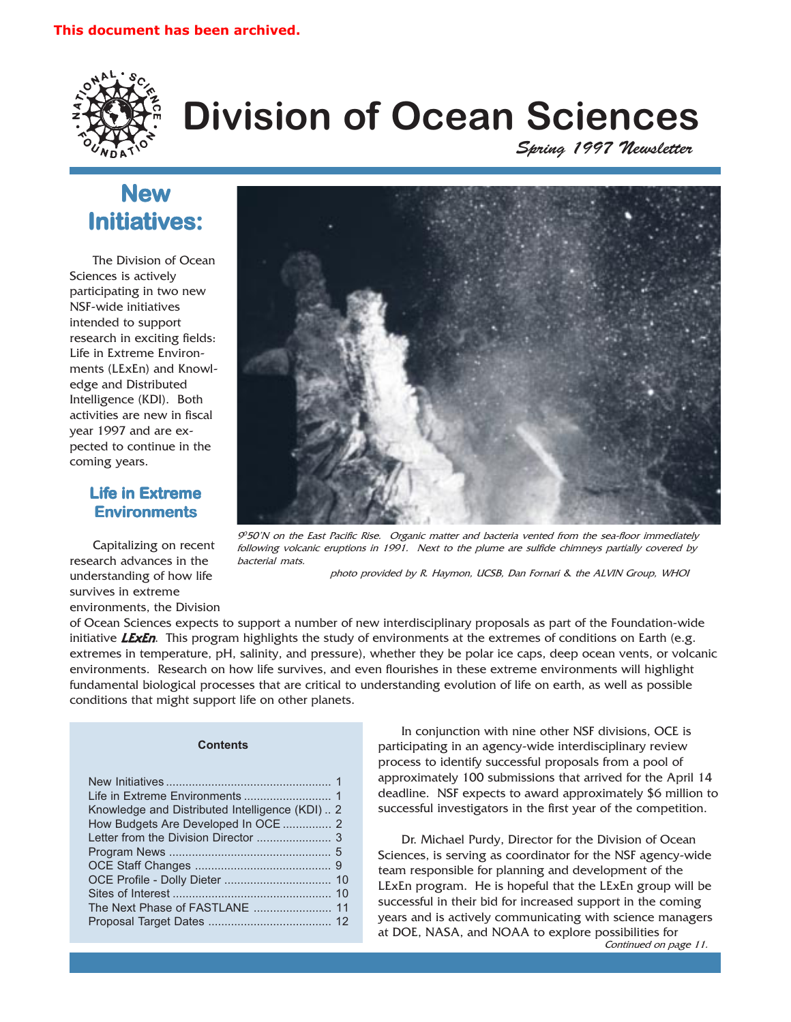

# Division of Ocean Sciences

Spring 1997 Newsletter

### **New** Initiatives:

The Division of Ocean Sciences is actively participating in two new NSF-wide initiatives intended to support research in exciting fields: Life in Extreme Environments (LExEn) and Knowledge and Distributed Intelligence (KDI). Both activities are new in fiscal year 1997 and are expected to continue in the coming years.

#### **Life in Extreme Environments**

Capitalizing on recent research advances in the understanding of how life survives in extreme environments, the Division



90 50N on the East Pacific Rise. Organic matter and bacteria vented from the sea-floor immediately following volcanic eruptions in 1991. Next to the plume are sulfide chimneys partially covered by bacterial mats.

photo provided by R. Haymon, UCSB, Dan Fornari & the ALVIN Group, WHOI

of Ocean Sciences expects to support a number of new interdisciplinary proposals as part of the Foundation-wide initiative **LExEn**. This program highlights the study of environments at the extremes of conditions on Earth (e.g. extremes in temperature, pH, salinity, and pressure), whether they be polar ice caps, deep ocean vents, or volcanic environments. Research on how life survives, and even flourishes in these extreme environments will highlight fundamental biological processes that are critical to understanding evolution of life on earth, as well as possible conditions that might support life on other planets.

#### **Contents**

| Knowledge and Distributed Intelligence (KDI) 2<br>How Budgets Are Developed In OCE 2 |  |
|--------------------------------------------------------------------------------------|--|
|                                                                                      |  |
|                                                                                      |  |

In conjunction with nine other NSF divisions, OCE is participating in an agency-wide interdisciplinary review process to identify successful proposals from a pool of approximately 100 submissions that arrived for the April 14 deadline. NSF expects to award approximately \$6 million to successful investigators in the first year of the competition.

Continued on page 11. Dr. Michael Purdy, Director for the Division of Ocean Sciences, is serving as coordinator for the NSF agency-wide team responsible for planning and development of the LExEn program. He is hopeful that the LExEn group will be successful in their bid for increased support in the coming years and is actively communicating with science managers at DOE, NASA, and NOAA to explore possibilities for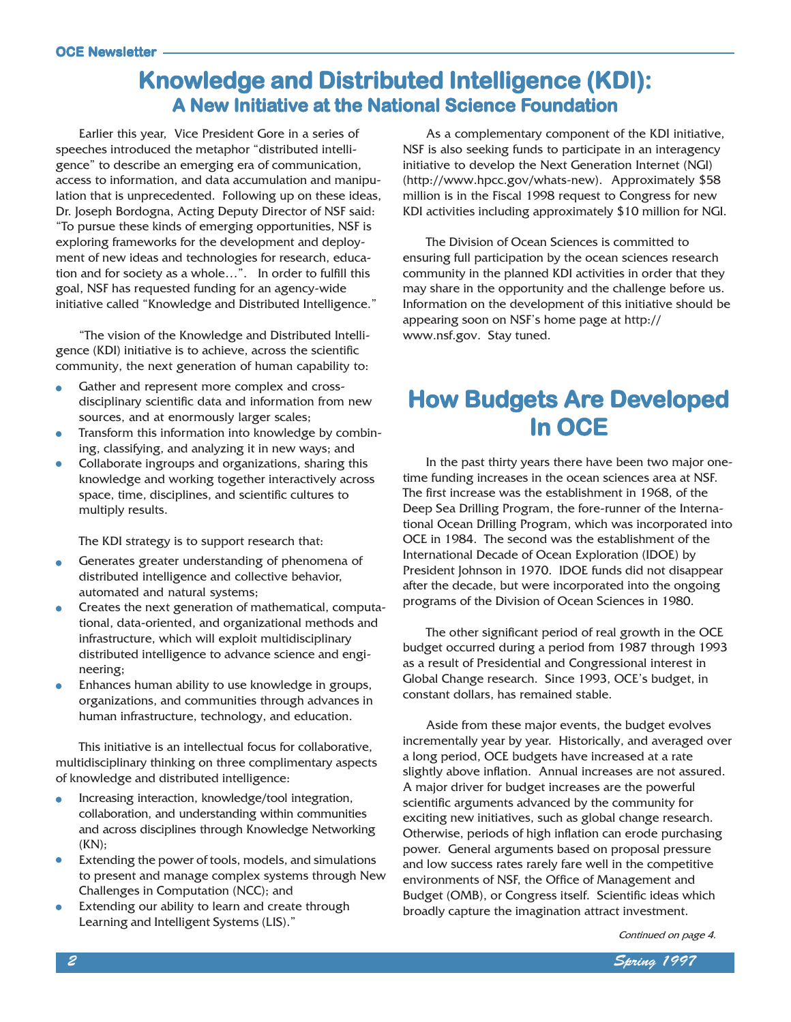### Knowledge and Distributed Intelligence (KDI): A New Initiative at the National Science Foundation

Earlier this year, Vice President Gore in a series of speeches introduced the metaphor "distributed intelligence" to describe an emerging era of communication, access to information, and data accumulation and manipulation that is unprecedented. Following up on these ideas, Dr. Joseph Bordogna, Acting Deputy Director of NSF said: To pursue these kinds of emerging opportunities, NSF is exploring frameworks for the development and deployment of new ideas and technologies for research, education and for society as a whole...". In order to fulfill this goal, NSF has requested funding for an agency-wide initiative called "Knowledge and Distributed Intelligence."

The vision of the Knowledge and Distributed Intelligence (KDI) initiative is to achieve, across the scientific community, the next generation of human capability to:

- Gather and represent more complex and cross- $\bullet$ disciplinary scientific data and information from new sources, and at enormously larger scales;
- Transform this information into knowledge by combin- $\bullet$ ing, classifying, and analyzing it in new ways; and
- Collaborate ingroups and organizations, sharing this  $\bullet$ knowledge and working together interactively across space, time, disciplines, and scientific cultures to multiply results.

The KDI strategy is to support research that:

- Generates greater understanding of phenomena of distributed intelligence and collective behavior, automated and natural systems;
- Creates the next generation of mathematical, computa- $\bullet$ tional, data-oriented, and organizational methods and infrastructure, which will exploit multidisciplinary distributed intelligence to advance science and engineering;
- Enhances human ability to use knowledge in groups,  $\bullet$ organizations, and communities through advances in human infrastructure, technology, and education.

This initiative is an intellectual focus for collaborative, multidisciplinary thinking on three complimentary aspects of knowledge and distributed intelligence:

- Increasing interaction, knowledge/tool integration,  $\bullet$ collaboration, and understanding within communities and across disciplines through Knowledge Networking (KN);
- Extending the power of tools, models, and simulations to present and manage complex systems through New Challenges in Computation (NCC); and
- Extending our ability to learn and create through Learning and Intelligent Systems (LIS).

As a complementary component of the KDI initiative, NSF is also seeking funds to participate in an interagency initiative to develop the Next Generation Internet (NGI) (http://www.hpcc.gov/whats-new). Approximately \$58 million is in the Fiscal 1998 request to Congress for new KDI activities including approximately \$10 million for NGI.

The Division of Ocean Sciences is committed to ensuring full participation by the ocean sciences research community in the planned KDI activities in order that they may share in the opportunity and the challenge before us. Information on the development of this initiative should be appearing soon on NSF's home page at http:// www.nsf.gov. Stay tuned.

### How Budgets Are Developed In OCE

In the past thirty years there have been two major onetime funding increases in the ocean sciences area at NSF. The first increase was the establishment in 1968, of the Deep Sea Drilling Program, the fore-runner of the International Ocean Drilling Program, which was incorporated into OCE in 1984. The second was the establishment of the International Decade of Ocean Exploration (IDOE) by President Johnson in 1970. IDOE funds did not disappear after the decade, but were incorporated into the ongoing programs of the Division of Ocean Sciences in 1980.

The other significant period of real growth in the OCE budget occurred during a period from 1987 through 1993 as a result of Presidential and Congressional interest in Global Change research. Since 1993, OCE's budget, in constant dollars, has remained stable.

Aside from these major events, the budget evolves incrementally year by year. Historically, and averaged over a long period, OCE budgets have increased at a rate slightly above inflation. Annual increases are not assured. A major driver for budget increases are the powerful scientific arguments advanced by the community for exciting new initiatives, such as global change research. Otherwise, periods of high inflation can erode purchasing power. General arguments based on proposal pressure and low success rates rarely fare well in the competitive environments of NSF, the Office of Management and Budget (OMB), or Congress itself. Scientific ideas which broadly capture the imagination attract investment.

Continued on page 4.

2 Spring 1997 (September 2008) and the second contract of the second second second second second second second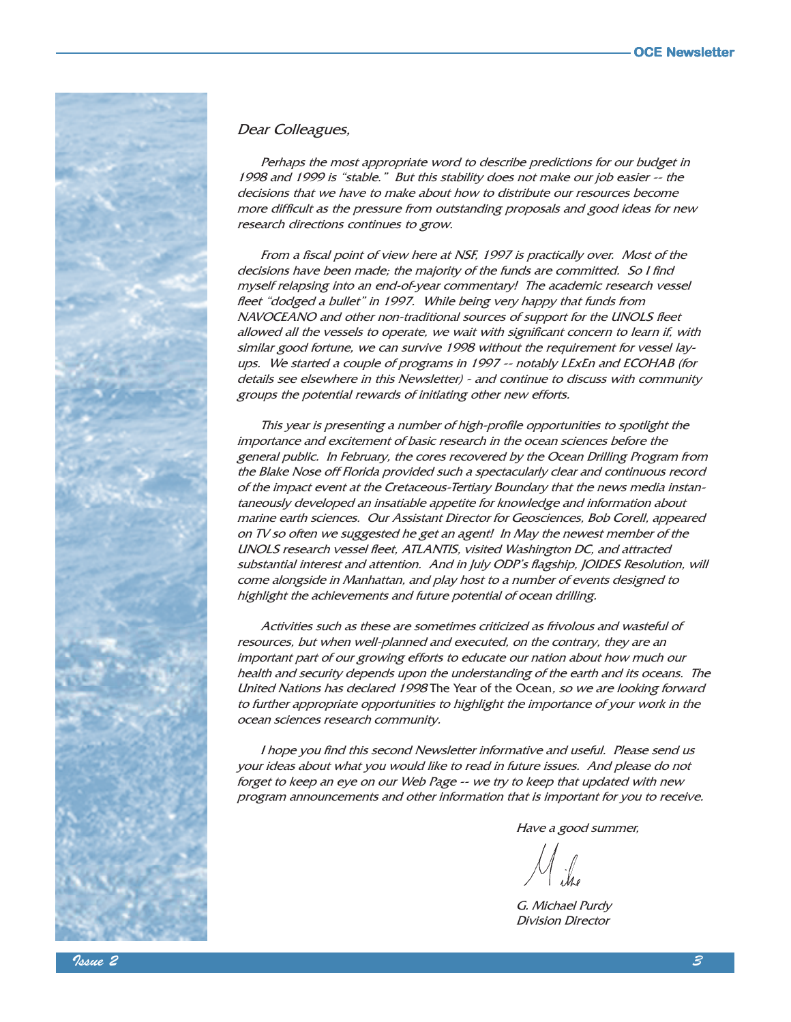

#### Dear Colleagues,

Perhaps the most appropriate word to describe predictions for our budget in 1998 and 1999 is "stable." But this stability does not make our job easier -- the decisions that we have to make about how to distribute our resources become more difficult as the pressure from outstanding proposals and good ideas for new research directions continues to grow.

From a fiscal point of view here at NSF, 1997 is practically over. Most of the decisions have been made; the majority of the funds are committed. So I find myself relapsing into an end-of-year commentary! The academic research vessel fleet "dodged a bullet" in 1997. While being very happy that funds from NAVOCEANO and other non-traditional sources of support for the UNOLS fleet allowed all the vessels to operate, we wait with significant concern to learn if, with similar good fortune, we can survive 1998 without the requirement for vessel layups. We started a couple of programs in 1997 -- notably LExEn and ECOHAB (for details see elsewhere in this Newsletter) - and continue to discuss with community groups the potential rewards of initiating other new efforts.

This year is presenting a number of high-profile opportunities to spotlight the importance and excitement of basic research in the ocean sciences before the general public. In February, the cores recovered by the Ocean Drilling Program from the Blake Nose off Florida provided such a spectacularly clear and continuous record of the impact event at the Cretaceous-Tertiary Boundary that the news media instantaneously developed an insatiable appetite for knowledge and information about marine earth sciences. Our Assistant Director for Geosciences, Bob Corell, appeared on TV so often we suggested he get an agent! In May the newest member of the UNOLS research vessel fleet, ATLANTIS, visited Washington DC, and attracted substantial interest and attention. And in July ODP's flagship, JOIDES Resolution, will come alongside in Manhattan, and play host to a number of events designed to highlight the achievements and future potential of ocean drilling.

Activities such as these are sometimes criticized as frivolous and wasteful of resources, but when well-planned and executed, on the contrary, they are an important part of our growing efforts to educate our nation about how much our health and security depends upon the understanding of the earth and its oceans. The United Nations has declared 1998 The Year of the Ocean, so we are looking forward to further appropriate opportunities to highlight the importance of your work in the ocean sciences research community.

I hope you find this second Newsletter informative and useful. Please send us your ideas about what you would like to read in future issues. And please do not forget to keep an eye on our Web Page -- we try to keep that updated with new program announcements and other information that is important for you to receive.

Have a good summer,

G. Michael Purdy Division Director

 $\sim$  1ssue 2  $\sim$  3  $\sim$  3  $\sim$  3  $\sim$  3  $\sim$  3  $\sim$  3  $\sim$  3  $\sim$  3  $\sim$  3  $\sim$  3  $\sim$  3  $\sim$  3  $\sim$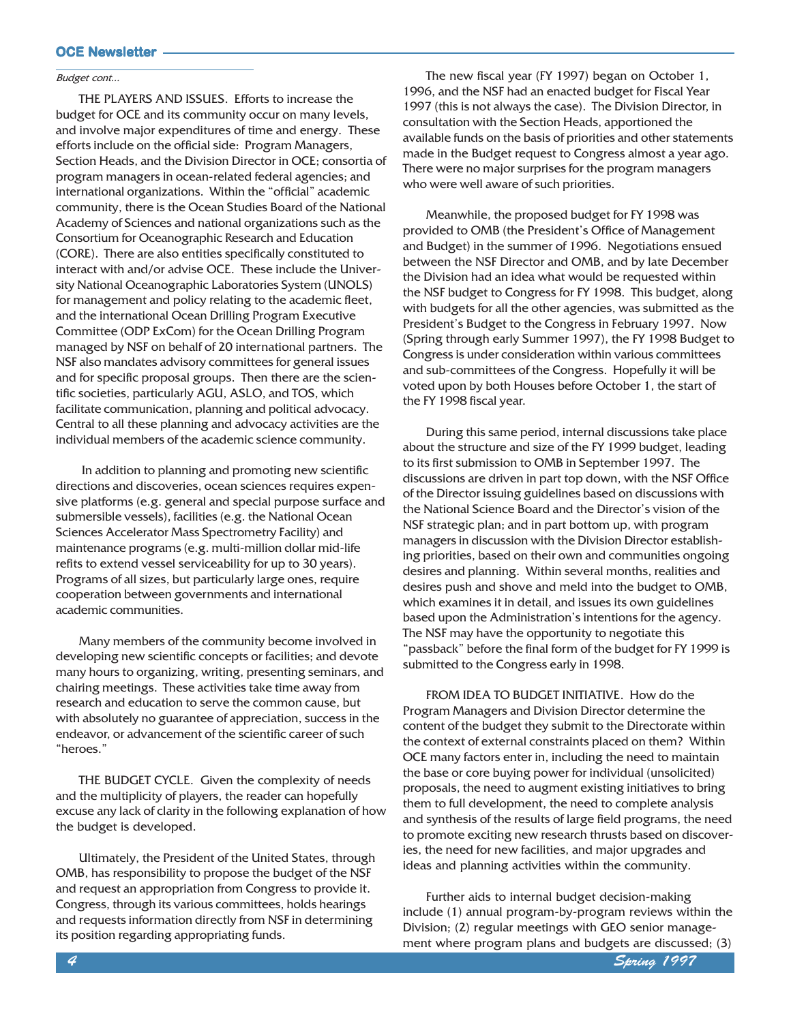#### Budget cont...

THE PLAYERS AND ISSUES. Efforts to increase the budget for OCE and its community occur on many levels, and involve major expenditures of time and energy. These efforts include on the official side: Program Managers, Section Heads, and the Division Director in OCE; consortia of program managers in ocean-related federal agencies; and international organizations. Within the "official" academic community, there is the Ocean Studies Board of the National Academy of Sciences and national organizations such as the Consortium for Oceanographic Research and Education (CORE). There are also entities specifically constituted to interact with and/or advise OCE. These include the University National Oceanographic Laboratories System (UNOLS) for management and policy relating to the academic fleet, and the international Ocean Drilling Program Executive Committee (ODP ExCom) for the Ocean Drilling Program managed by NSF on behalf of 20 international partners. The NSF also mandates advisory committees for general issues and for specific proposal groups. Then there are the scientific societies, particularly AGU, ASLO, and TOS, which facilitate communication, planning and political advocacy. Central to all these planning and advocacy activities are the individual members of the academic science community.

 In addition to planning and promoting new scientific directions and discoveries, ocean sciences requires expensive platforms (e.g. general and special purpose surface and submersible vessels), facilities (e.g. the National Ocean Sciences Accelerator Mass Spectrometry Facility) and maintenance programs (e.g. multi-million dollar mid-life refits to extend vessel serviceability for up to 30 years). Programs of all sizes, but particularly large ones, require cooperation between governments and international academic communities.

Many members of the community become involved in developing new scientific concepts or facilities; and devote many hours to organizing, writing, presenting seminars, and chairing meetings. These activities take time away from research and education to serve the common cause, but with absolutely no guarantee of appreciation, success in the endeavor, or advancement of the scientific career of such heroes.

THE BUDGET CYCLE. Given the complexity of needs and the multiplicity of players, the reader can hopefully excuse any lack of clarity in the following explanation of how the budget is developed.

Ultimately, the President of the United States, through OMB, has responsibility to propose the budget of the NSF and request an appropriation from Congress to provide it. Congress, through its various committees, holds hearings and requests information directly from NSF in determining its position regarding appropriating funds.

The new fiscal year (FY 1997) began on October 1, 1996, and the NSF had an enacted budget for Fiscal Year 1997 (this is not always the case). The Division Director, in consultation with the Section Heads, apportioned the available funds on the basis of priorities and other statements made in the Budget request to Congress almost a year ago. There were no major surprises for the program managers who were well aware of such priorities.

Meanwhile, the proposed budget for FY 1998 was provided to OMB (the President's Office of Management and Budget) in the summer of 1996. Negotiations ensued between the NSF Director and OMB, and by late December the Division had an idea what would be requested within the NSF budget to Congress for FY 1998. This budget, along with budgets for all the other agencies, was submitted as the President's Budget to the Congress in February 1997. Now (Spring through early Summer 1997), the FY 1998 Budget to Congress is under consideration within various committees and sub-committees of the Congress. Hopefully it will be voted upon by both Houses before October 1, the start of the FY 1998 fiscal year.

During this same period, internal discussions take place about the structure and size of the FY 1999 budget, leading to its first submission to OMB in September 1997. The discussions are driven in part top down, with the NSF Office of the Director issuing guidelines based on discussions with the National Science Board and the Director's vision of the NSF strategic plan; and in part bottom up, with program managers in discussion with the Division Director establishing priorities, based on their own and communities ongoing desires and planning. Within several months, realities and desires push and shove and meld into the budget to OMB, which examines it in detail, and issues its own guidelines based upon the Administration's intentions for the agency. The NSF may have the opportunity to negotiate this "passback" before the final form of the budget for FY 1999 is submitted to the Congress early in 1998.

FROM IDEA TO BUDGET INITIATIVE. How do the Program Managers and Division Director determine the content of the budget they submit to the Directorate within the context of external constraints placed on them? Within OCE many factors enter in, including the need to maintain the base or core buying power for individual (unsolicited) proposals, the need to augment existing initiatives to bring them to full development, the need to complete analysis and synthesis of the results of large field programs, the need to promote exciting new research thrusts based on discoveries, the need for new facilities, and major upgrades and ideas and planning activities within the community.

Further aids to internal budget decision-making include (1) annual program-by-program reviews within the Division; (2) regular meetings with GEO senior management where program plans and budgets are discussed; (3)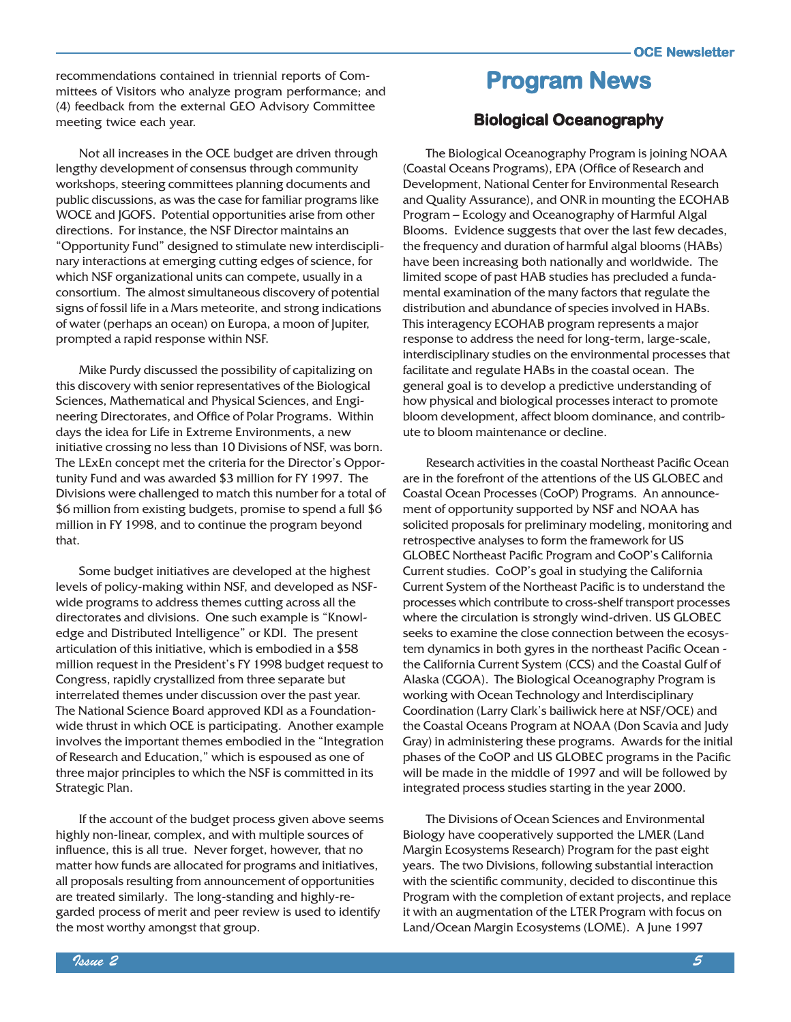recommendations contained in triennial reports of Com-<br>mittees of Visitors who analyze program performance, and **Program News** mittees of Visitors who analyze program performance; and (4) feedback from the external GEO Advisory Committee meeting twice each year.

Not all increases in the OCE budget are driven through lengthy development of consensus through community workshops, steering committees planning documents and public discussions, as was the case for familiar programs like WOCE and JGOFS. Potential opportunities arise from other directions. For instance, the NSF Director maintains an "Opportunity Fund" designed to stimulate new interdisciplinary interactions at emerging cutting edges of science, for which NSF organizational units can compete, usually in a consortium. The almost simultaneous discovery of potential signs of fossil life in a Mars meteorite, and strong indications of water (perhaps an ocean) on Europa, a moon of Jupiter, prompted a rapid response within NSF.

Mike Purdy discussed the possibility of capitalizing on this discovery with senior representatives of the Biological Sciences, Mathematical and Physical Sciences, and Engineering Directorates, and Office of Polar Programs. Within days the idea for Life in Extreme Environments, a new initiative crossing no less than 10 Divisions of NSF, was born. The LExEn concept met the criteria for the Director's Opportunity Fund and was awarded \$3 million for FY 1997. The Divisions were challenged to match this number for a total of \$6 million from existing budgets, promise to spend a full \$6 million in FY 1998, and to continue the program beyond that.

Some budget initiatives are developed at the highest levels of policy-making within NSF, and developed as NSFwide programs to address themes cutting across all the directorates and divisions. One such example is "Knowledge and Distributed Intelligence" or KDI. The present articulation of this initiative, which is embodied in a \$58 million request in the President's FY 1998 budget request to Congress, rapidly crystallized from three separate but interrelated themes under discussion over the past year. The National Science Board approved KDI as a Foundationwide thrust in which OCE is participating. Another example involves the important themes embodied in the "Integration" of Research and Education," which is espoused as one of three major principles to which the NSF is committed in its Strategic Plan.

If the account of the budget process given above seems highly non-linear, complex, and with multiple sources of influence, this is all true. Never forget, however, that no matter how funds are allocated for programs and initiatives, all proposals resulting from announcement of opportunities are treated similarly. The long-standing and highly-regarded process of merit and peer review is used to identify the most worthy amongst that group.

#### Biological Oceanography

The Biological Oceanography Program is joining NOAA (Coastal Oceans Programs), EPA (Office of Research and Development, National Center for Environmental Research and Quality Assurance), and ONR in mounting the ECOHAB Program - Ecology and Oceanography of Harmful Algal Blooms. Evidence suggests that over the last few decades, the frequency and duration of harmful algal blooms (HABs) have been increasing both nationally and worldwide. The limited scope of past HAB studies has precluded a fundamental examination of the many factors that regulate the distribution and abundance of species involved in HABs. This interagency ECOHAB program represents a major response to address the need for long-term, large-scale, interdisciplinary studies on the environmental processes that facilitate and regulate HABs in the coastal ocean. The general goal is to develop a predictive understanding of how physical and biological processes interact to promote bloom development, affect bloom dominance, and contribute to bloom maintenance or decline.

Research activities in the coastal Northeast Pacific Ocean are in the forefront of the attentions of the US GLOBEC and Coastal Ocean Processes (CoOP) Programs. An announcement of opportunity supported by NSF and NOAA has solicited proposals for preliminary modeling, monitoring and retrospective analyses to form the framework for US GLOBEC Northeast Pacific Program and CoOP's California Current studies. CoOP's goal in studying the California Current System of the Northeast Pacific is to understand the processes which contribute to cross-shelf transport processes where the circulation is strongly wind-driven. US GLOBEC seeks to examine the close connection between the ecosystem dynamics in both gyres in the northeast Pacific Ocean the California Current System (CCS) and the Coastal Gulf of Alaska (CGOA). The Biological Oceanography Program is working with Ocean Technology and Interdisciplinary Coordination (Larry Clark's bailiwick here at NSF/OCE) and the Coastal Oceans Program at NOAA (Don Scavia and Judy Gray) in administering these programs. Awards for the initial phases of the CoOP and US GLOBEC programs in the Pacific will be made in the middle of 1997 and will be followed by integrated process studies starting in the year 2000.

The Divisions of Ocean Sciences and Environmental Biology have cooperatively supported the LMER (Land Margin Ecosystems Research) Program for the past eight years. The two Divisions, following substantial interaction with the scientific community, decided to discontinue this Program with the completion of extant projects, and replace it with an augmentation of the LTER Program with focus on Land/Ocean Margin Ecosystems (LOME). A June 1997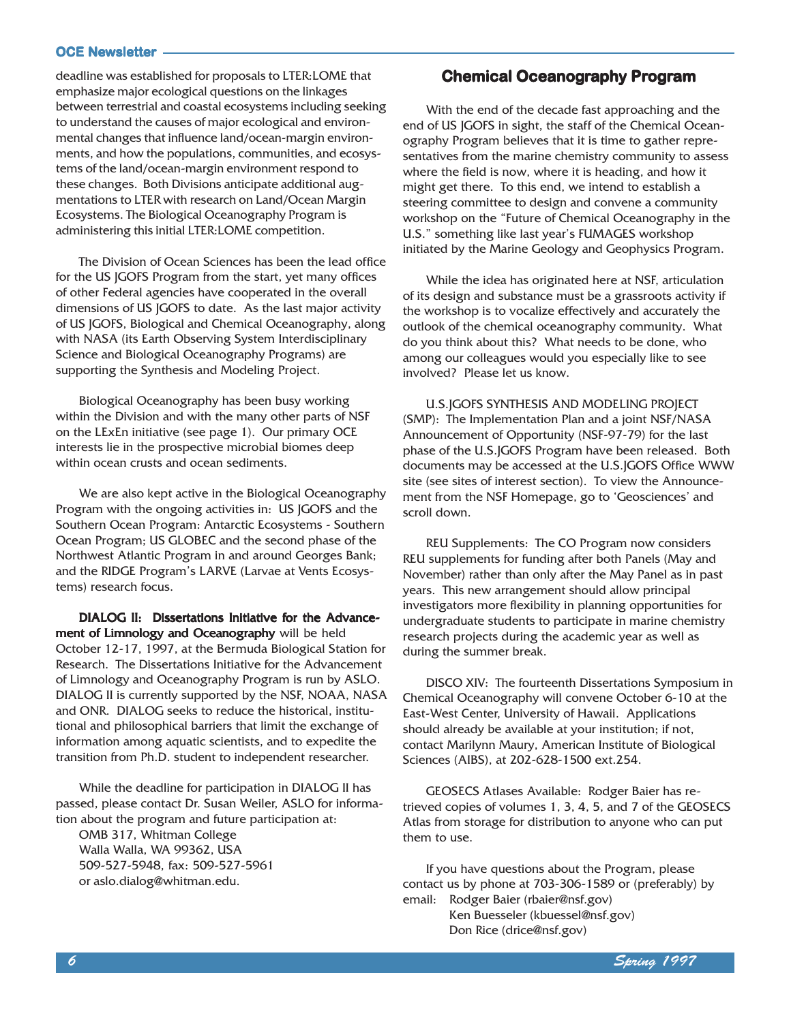deadline was established for proposals to LTER:LOME that emphasize major ecological questions on the linkages between terrestrial and coastal ecosystems including seeking to understand the causes of major ecological and environmental changes that influence land/ocean-margin environments, and how the populations, communities, and ecosystems of the land/ocean-margin environment respond to these changes. Both Divisions anticipate additional augmentations to LTER with research on Land/Ocean Margin Ecosystems. The Biological Oceanography Program is administering this initial LTER:LOME competition.

The Division of Ocean Sciences has been the lead office for the US JGOFS Program from the start, yet many offices of other Federal agencies have cooperated in the overall dimensions of US JGOFS to date. As the last major activity of US JGOFS, Biological and Chemical Oceanography, along with NASA (its Earth Observing System Interdisciplinary Science and Biological Oceanography Programs) are supporting the Synthesis and Modeling Project.

Biological Oceanography has been busy working within the Division and with the many other parts of NSF on the LExEn initiative (see page 1). Our primary OCE interests lie in the prospective microbial biomes deep within ocean crusts and ocean sediments.

We are also kept active in the Biological Oceanography Program with the ongoing activities in: US JGOFS and the Southern Ocean Program: Antarctic Ecosystems - Southern Ocean Program; US GLOBEC and the second phase of the Northwest Atlantic Program in and around Georges Bank; and the RIDGE Program's LARVE (Larvae at Vents Ecosystems) research focus.

DIALOG II: Dissertations Initiative for the Advancement of Limnology and Oceanography will be held October 12-17, 1997, at the Bermuda Biological Station for Research. The Dissertations Initiative for the Advancement of Limnology and Oceanography Program is run by ASLO. DIALOG II is currently supported by the NSF, NOAA, NASA and ONR. DIALOG seeks to reduce the historical, institutional and philosophical barriers that limit the exchange of information among aquatic scientists, and to expedite the transition from Ph.D. student to independent researcher.

While the deadline for participation in DIALOG II has passed, please contact Dr. Susan Weiler, ASLO for information about the program and future participation at:

OMB 317, Whitman College Walla Walla, WA 99362, USA 509-527-5948, fax: 509-527-5961 or aslo.dialog@whitman.edu.

#### Chemical Oceanography Program

With the end of the decade fast approaching and the end of US JGOFS in sight, the staff of the Chemical Oceanography Program believes that it is time to gather representatives from the marine chemistry community to assess where the field is now, where it is heading, and how it might get there. To this end, we intend to establish a steering committee to design and convene a community workshop on the "Future of Chemical Oceanography in the U.S." something like last year's FUMAGES workshop initiated by the Marine Geology and Geophysics Program.

While the idea has originated here at NSF, articulation of its design and substance must be a grassroots activity if the workshop is to vocalize effectively and accurately the outlook of the chemical oceanography community. What do you think about this? What needs to be done, who among our colleagues would you especially like to see involved? Please let us know.

U.S.JGOFS SYNTHESIS AND MODELING PROJECT (SMP): The Implementation Plan and a joint NSF/NASA Announcement of Opportunity (NSF-97-79) for the last phase of the U.S.JGOFS Program have been released. Both documents may be accessed at the U.S.JGOFS Office WWW site (see sites of interest section). To view the Announcement from the NSF Homepage, go to 'Geosciences' and scroll down.

REU Supplements: The CO Program now considers REU supplements for funding after both Panels (May and November) rather than only after the May Panel as in past years. This new arrangement should allow principal investigators more flexibility in planning opportunities for undergraduate students to participate in marine chemistry research projects during the academic year as well as during the summer break.

DISCO XIV: The fourteenth Dissertations Symposium in Chemical Oceanography will convene October 6-10 at the East-West Center, University of Hawaii. Applications should already be available at your institution; if not, contact Marilynn Maury, American Institute of Biological Sciences (AIBS), at 202-628-1500 ext.254.

GEOSECS Atlases Available: Rodger Baier has retrieved copies of volumes 1, 3, 4, 5, and 7 of the GEOSECS Atlas from storage for distribution to anyone who can put them to use.

If you have questions about the Program, please contact us by phone at 703-306-1589 or (preferably) by email: Rodger Baier (rbaier@nsf.gov) Ken Buesseler (kbuessel@nsf.gov) Don Rice (drice@nsf.gov)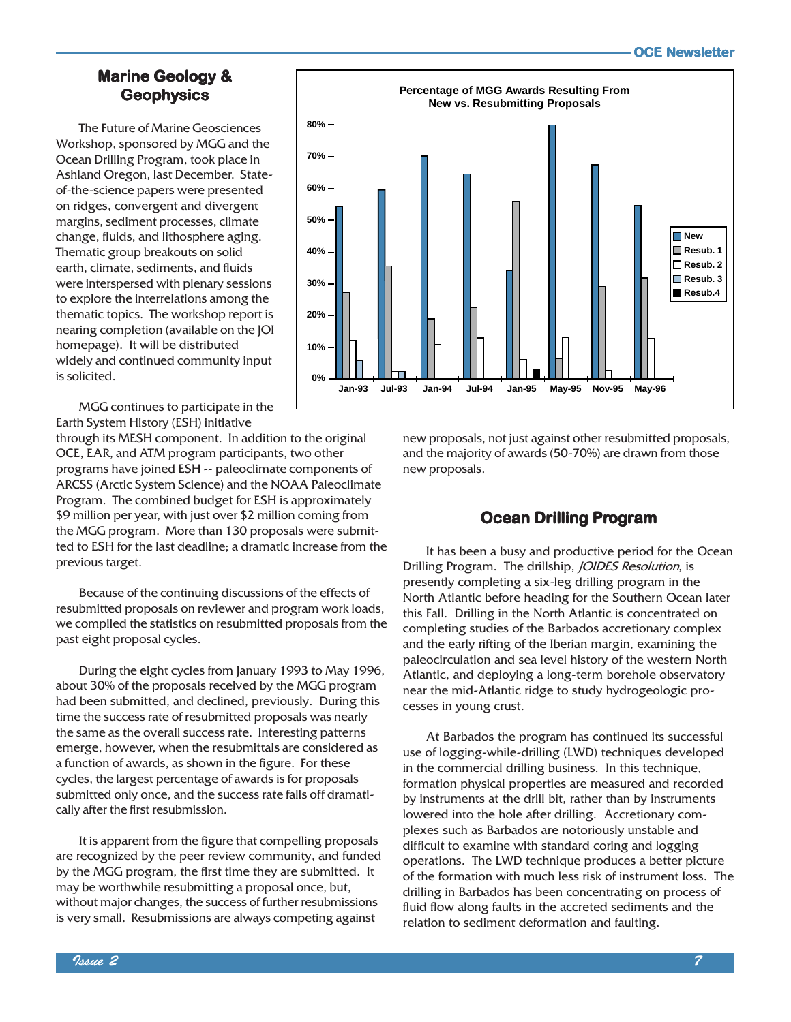#### Marine Geology & **Geophysics**

The Future of Marine Geosciences Workshop, sponsored by MGG and the Ocean Drilling Program, took place in Ashland Oregon, last December. Stateof-the-science papers were presented on ridges, convergent and divergent margins, sediment processes, climate change, fluids, and lithosphere aging. Thematic group breakouts on solid earth, climate, sediments, and fluids were interspersed with plenary sessions to explore the interrelations among the thematic topics. The workshop report is nearing completion (available on the JOI homepage). It will be distributed widely and continued community input is solicited.



MGG continues to participate in the Earth System History (ESH) initiative

through its MESH component. In addition to the original OCE, EAR, and ATM program participants, two other programs have joined ESH -- paleoclimate components of ARCSS (Arctic System Science) and the NOAA Paleoclimate Program. The combined budget for ESH is approximately \$9 million per year, with just over \$2 million coming from the MGG program. More than 130 proposals were submitted to ESH for the last deadline; a dramatic increase from the previous target.

Because of the continuing discussions of the effects of resubmitted proposals on reviewer and program work loads, we compiled the statistics on resubmitted proposals from the past eight proposal cycles.

During the eight cycles from January 1993 to May 1996, about 30% of the proposals received by the MGG program had been submitted, and declined, previously. During this time the success rate of resubmitted proposals was nearly the same as the overall success rate. Interesting patterns emerge, however, when the resubmittals are considered as a function of awards, as shown in the figure. For these cycles, the largest percentage of awards is for proposals submitted only once, and the success rate falls off dramatically after the first resubmission.

It is apparent from the figure that compelling proposals are recognized by the peer review community, and funded by the MGG program, the first time they are submitted. It may be worthwhile resubmitting a proposal once, but, without major changes, the success of further resubmissions is very small. Resubmissions are always competing against

new proposals, not just against other resubmitted proposals, and the majority of awards (50-70%) are drawn from those new proposals.

### Ocean Drilling Program

It has been a busy and productive period for the Ocean Drilling Program. The drillship, *JOIDES Resolution*, is presently completing a six-leg drilling program in the North Atlantic before heading for the Southern Ocean later this Fall. Drilling in the North Atlantic is concentrated on completing studies of the Barbados accretionary complex and the early rifting of the Iberian margin, examining the paleocirculation and sea level history of the western North Atlantic, and deploying a long-term borehole observatory near the mid-Atlantic ridge to study hydrogeologic processes in young crust.

At Barbados the program has continued its successful use of logging-while-drilling (LWD) techniques developed in the commercial drilling business. In this technique, formation physical properties are measured and recorded by instruments at the drill bit, rather than by instruments lowered into the hole after drilling. Accretionary complexes such as Barbados are notoriously unstable and difficult to examine with standard coring and logging operations. The LWD technique produces a better picture of the formation with much less risk of instrument loss. The drilling in Barbados has been concentrating on process of fluid flow along faults in the accreted sediments and the relation to sediment deformation and faulting.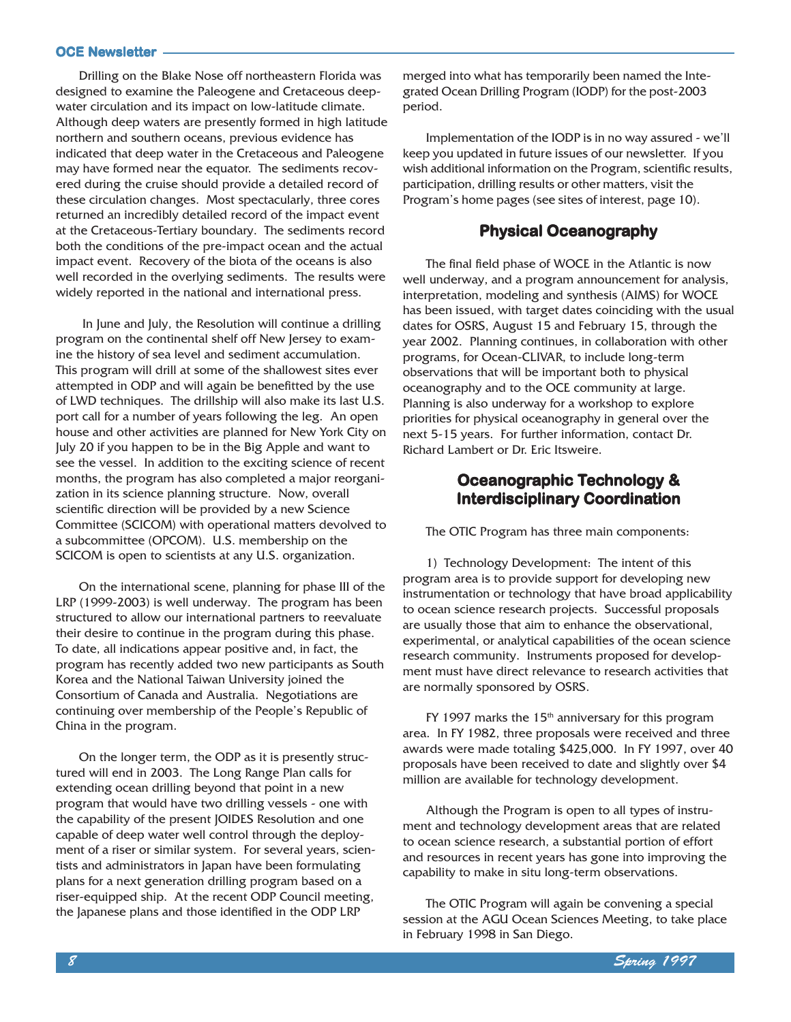Drilling on the Blake Nose off northeastern Florida was designed to examine the Paleogene and Cretaceous deepwater circulation and its impact on low-latitude climate. Although deep waters are presently formed in high latitude northern and southern oceans, previous evidence has indicated that deep water in the Cretaceous and Paleogene may have formed near the equator. The sediments recovered during the cruise should provide a detailed record of these circulation changes. Most spectacularly, three cores returned an incredibly detailed record of the impact event at the Cretaceous-Tertiary boundary. The sediments record both the conditions of the pre-impact ocean and the actual impact event. Recovery of the biota of the oceans is also well recorded in the overlying sediments. The results were widely reported in the national and international press.

 In June and July, the Resolution will continue a drilling program on the continental shelf off New Jersey to examine the history of sea level and sediment accumulation. This program will drill at some of the shallowest sites ever attempted in ODP and will again be benefitted by the use of LWD techniques. The drillship will also make its last U.S. port call for a number of years following the leg. An open house and other activities are planned for New York City on July 20 if you happen to be in the Big Apple and want to see the vessel. In addition to the exciting science of recent months, the program has also completed a major reorganization in its science planning structure. Now, overall scientific direction will be provided by a new Science Committee (SCICOM) with operational matters devolved to a subcommittee (OPCOM). U.S. membership on the SCICOM is open to scientists at any U.S. organization.

On the international scene, planning for phase III of the LRP (1999-2003) is well underway. The program has been structured to allow our international partners to reevaluate their desire to continue in the program during this phase. To date, all indications appear positive and, in fact, the program has recently added two new participants as South Korea and the National Taiwan University joined the Consortium of Canada and Australia. Negotiations are continuing over membership of the People's Republic of China in the program.

On the longer term, the ODP as it is presently structured will end in 2003. The Long Range Plan calls for extending ocean drilling beyond that point in a new program that would have two drilling vessels - one with the capability of the present JOIDES Resolution and one capable of deep water well control through the deployment of a riser or similar system. For several years, scientists and administrators in Japan have been formulating plans for a next generation drilling program based on a riser-equipped ship. At the recent ODP Council meeting, the Japanese plans and those identified in the ODP LRP

merged into what has temporarily been named the Integrated Ocean Drilling Program (IODP) for the post-2003 period.

Implementation of the IODP is in no way assured - we'll keep you updated in future issues of our newsletter. If you wish additional information on the Program, scientific results, participation, drilling results or other matters, visit the Program's home pages (see sites of interest, page 10).

#### Physical Oceanography

The final field phase of WOCE in the Atlantic is now well underway, and a program announcement for analysis, interpretation, modeling and synthesis (AIMS) for WOCE has been issued, with target dates coinciding with the usual dates for OSRS, August 15 and February 15, through the year 2002. Planning continues, in collaboration with other programs, for Ocean-CLIVAR, to include long-term observations that will be important both to physical oceanography and to the OCE community at large. Planning is also underway for a workshop to explore priorities for physical oceanography in general over the next 5-15 years. For further information, contact Dr. Richard Lambert or Dr. Eric Itsweire.

#### Oceanographic Technology & Interdisciplinary Coordination

The OTIC Program has three main components:

1) Technology Development: The intent of this program area is to provide support for developing new instrumentation or technology that have broad applicability to ocean science research projects. Successful proposals are usually those that aim to enhance the observational, experimental, or analytical capabilities of the ocean science research community. Instruments proposed for development must have direct relevance to research activities that are normally sponsored by OSRS.

FY 1997 marks the  $15<sup>th</sup>$  anniversary for this program area. In FY 1982, three proposals were received and three awards were made totaling \$425,000. In FY 1997, over 40 proposals have been received to date and slightly over \$4 million are available for technology development.

Although the Program is open to all types of instrument and technology development areas that are related to ocean science research, a substantial portion of effort and resources in recent years has gone into improving the capability to make in situ long-term observations.

The OTIC Program will again be convening a special session at the AGU Ocean Sciences Meeting, to take place in February 1998 in San Diego.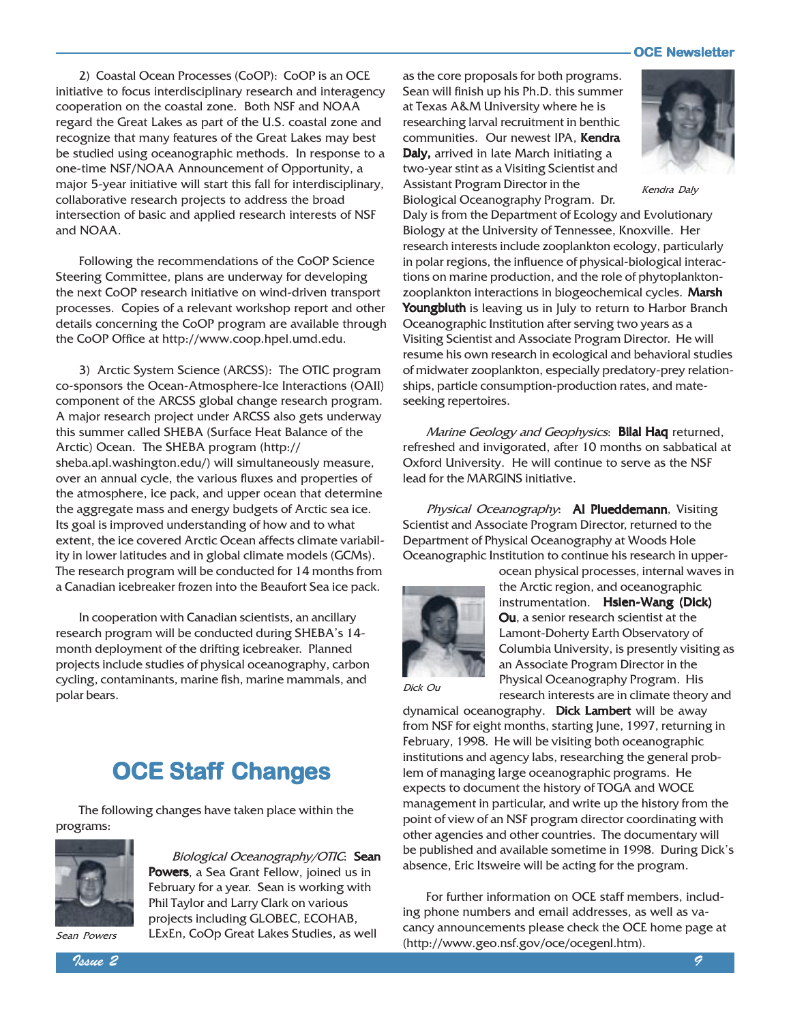2) Coastal Ocean Processes (CoOP): CoOP is an OCE initiative to focus interdisciplinary research and interagency cooperation on the coastal zone. Both NSF and NOAA regard the Great Lakes as part of the U.S. coastal zone and recognize that many features of the Great Lakes may best be studied using oceanographic methods. In response to a one-time NSF/NOAA Announcement of Opportunity, a major 5-year initiative will start this fall for interdisciplinary, collaborative research projects to address the broad intersection of basic and applied research interests of NSF and NOAA.

Following the recommendations of the CoOP Science Steering Committee, plans are underway for developing the next CoOP research initiative on wind-driven transport processes. Copies of a relevant workshop report and other details concerning the CoOP program are available through the CoOP Office at http://www.coop.hpel.umd.edu.

3) Arctic System Science (ARCSS): The OTIC program co-sponsors the Ocean-Atmosphere-Ice Interactions (OAII) component of the ARCSS global change research program. A major research project under ARCSS also gets underway this summer called SHEBA (Surface Heat Balance of the Arctic) Ocean. The SHEBA program (http:// sheba.apl.washington.edu/) will simultaneously measure, over an annual cycle, the various fluxes and properties of the atmosphere, ice pack, and upper ocean that determine the aggregate mass and energy budgets of Arctic sea ice. Its goal is improved understanding of how and to what extent, the ice covered Arctic Ocean affects climate variability in lower latitudes and in global climate models (GCMs). The research program will be conducted for 14 months from a Canadian icebreaker frozen into the Beaufort Sea ice pack.

In cooperation with Canadian scientists, an ancillary research program will be conducted during SHEBA's 14month deployment of the drifting icebreaker. Planned projects include studies of physical oceanography, carbon cycling, contaminants, marine fish, marine mammals, and polar bears.

### **OCE Staff Changes**

The following changes have taken place within the programs:



Biological Oceanography/OTIC: Sean Powers, a Sea Grant Fellow, joined us in February for a year. Sean is working with Phil Taylor and Larry Clark on various projects including GLOBEC, ECOHAB, LExEn, CoOp Great Lakes Studies, as well

as the core proposals for both programs. Sean will finish up his Ph.D. this summer at Texas A&M University where he is researching larval recruitment in benthic communities. Our newest IPA, Kendra Daly, arrived in late March initiating a two-year stint as a Visiting Scientist and Assistant Program Director in the Biological Oceanography Program. Dr.



Kendra Daly

Daly is from the Department of Ecology and Evolutionary Biology at the University of Tennessee, Knoxville. Her research interests include zooplankton ecology, particularly in polar regions, the influence of physical-biological interactions on marine production, and the role of phytoplanktonzooplankton interactions in biogeochemical cycles. Marsh Youngbluth is leaving us in July to return to Harbor Branch Oceanographic Institution after serving two years as a Visiting Scientist and Associate Program Director. He will resume his own research in ecological and behavioral studies of midwater zooplankton, especially predatory-prey relationships, particle consumption-production rates, and mateseeking repertoires.

Marine Geology and Geophysics: Bilal Haq returned, refreshed and invigorated, after 10 months on sabbatical at Oxford University. He will continue to serve as the NSF lead for the MARGINS initiative.

Physical Oceanography: Al Plueddemann, Visiting Scientist and Associate Program Director, returned to the Department of Physical Oceanography at Woods Hole Oceanographic Institution to continue his research in upper-



ocean physical processes, internal waves in the Arctic region, and oceanographic instrumentation. Hsien-Wang (Dick) Ou, a senior research scientist at the Lamont-Doherty Earth Observatory of Columbia University, is presently visiting as an Associate Program Director in the Physical Oceanography Program. His research interests are in climate theory and

Dick Ou

dynamical oceanography. **Dick Lambert** will be away from NSF for eight months, starting June, 1997, returning in February, 1998. He will be visiting both oceanographic institutions and agency labs, researching the general problem of managing large oceanographic programs. He expects to document the history of TOGA and WOCE management in particular, and write up the history from the point of view of an NSF program director coordinating with other agencies and other countries. The documentary will be published and available sometime in 1998. During Dick's absence, Eric Itsweire will be acting for the program.

For further information on OCE staff members, including phone numbers and email addresses, as well as vacancy announcements please check the OCE home page at Sean Powers LExEn, CoOp Great Lakes Studies, as well early amouncements prease encerence of the Section of the S

 $\sim$  1ssue 2  $\sim$  9  $\sim$  1s  $\sim$  1s  $\sim$  1s  $\sim$  1s  $\sim$  1s  $\sim$  1s  $\sim$  1s  $\sim$  1s  $\sim$  1s  $\sim$  1s  $\sim$  1s  $\sim$  1s  $\sim$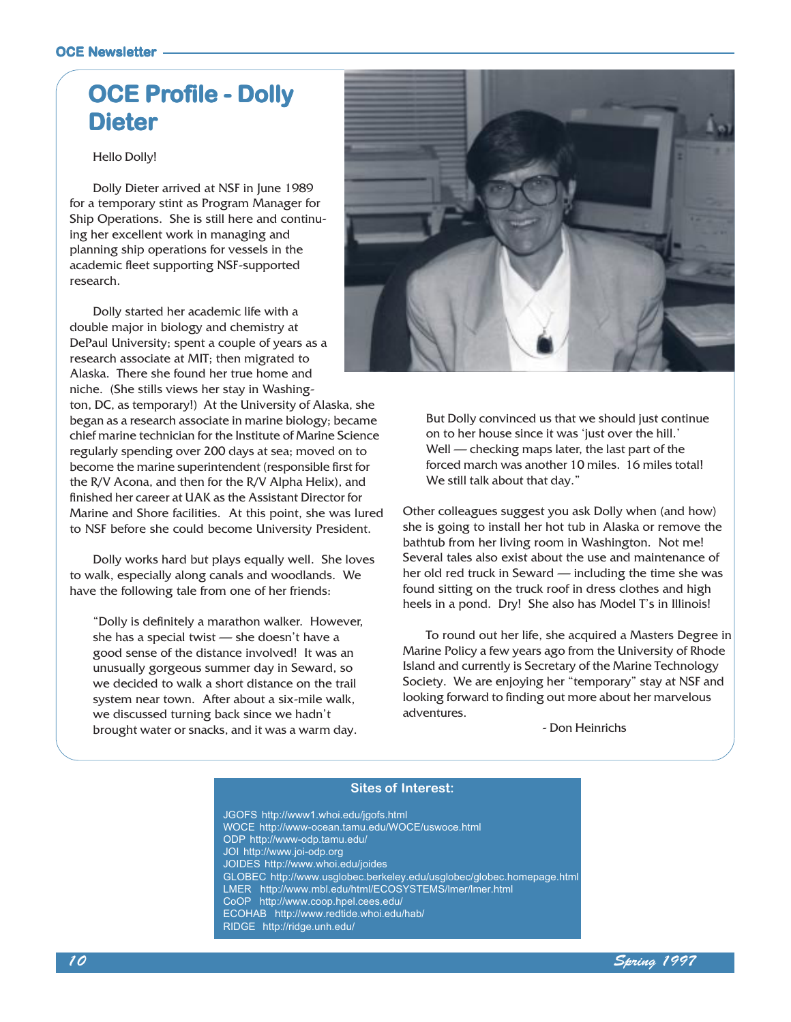## **OCE Profile - Dolly Dieter**

Hello Dolly!

Dolly Dieter arrived at NSF in June 1989 for a temporary stint as Program Manager for Ship Operations. She is still here and continuing her excellent work in managing and planning ship operations for vessels in the academic fleet supporting NSF-supported research.

Dolly started her academic life with a double major in biology and chemistry at DePaul University; spent a couple of years as a research associate at MIT; then migrated to Alaska. There she found her true home and niche. (She stills views her stay in Washing-

ton, DC, as temporary!) At the University of Alaska, she began as a research associate in marine biology; became chief marine technician for the Institute of Marine Science regularly spending over 200 days at sea; moved on to become the marine superintendent (responsible first for the R/V Acona, and then for the R/V Alpha Helix), and finished her career at UAK as the Assistant Director for Marine and Shore facilities. At this point, she was lured to NSF before she could become University President.

Dolly works hard but plays equally well. She loves to walk, especially along canals and woodlands. We have the following tale from one of her friends:

Dolly is definitely a marathon walker. However, she has a special twist  $-$  she doesn't have a good sense of the distance involved! It was an unusually gorgeous summer day in Seward, so we decided to walk a short distance on the trail system near town. After about a six-mile walk, we discussed turning back since we hadn't brought water or snacks, and it was a warm day.



But Dolly convinced us that we should just continue on to her house since it was 'just over the hill.' Well  $\sim$  checking maps later, the last part of the forced march was another 10 miles. 16 miles total! We still talk about that day."

Other colleagues suggest you ask Dolly when (and how) she is going to install her hot tub in Alaska or remove the bathtub from her living room in Washington. Not me! Several tales also exist about the use and maintenance of her old red truck in Seward - including the time she was found sitting on the truck roof in dress clothes and high heels in a pond. Dry! She also has Model T's in Illinois!

To round out her life, she acquired a Masters Degree in Marine Policy a few years ago from the University of Rhode Island and currently is Secretary of the Marine Technology Society. We are enjoying her "temporary" stay at NSF and looking forward to finding out more about her marvelous adventures.

- Don Heinrichs

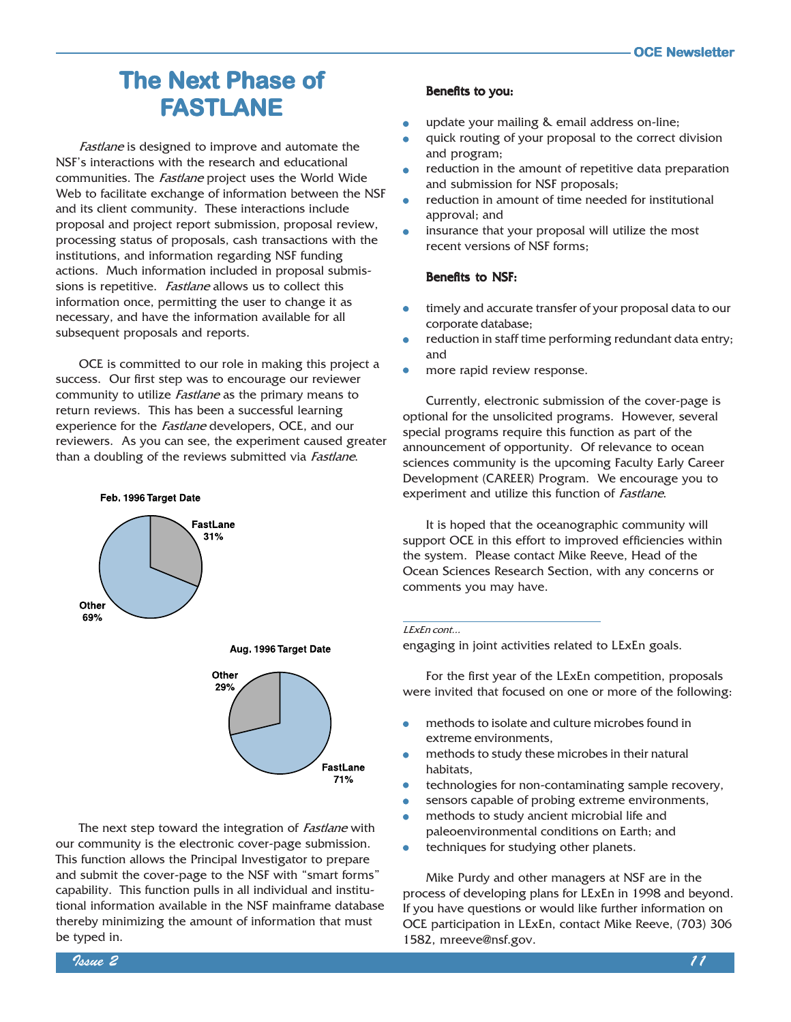### **The Next Phase of** FASTLANE

Fastlane is designed to improve and automate the NSF's interactions with the research and educational communities. The *Fastlane* project uses the World Wide Web to facilitate exchange of information between the NSF and its client community. These interactions include proposal and project report submission, proposal review, processing status of proposals, cash transactions with the institutions, and information regarding NSF funding actions. Much information included in proposal submissions is repetitive. Fastlane allows us to collect this information once, permitting the user to change it as necessary, and have the information available for all subsequent proposals and reports.

OCE is committed to our role in making this project a success. Our first step was to encourage our reviewer community to utilize *Fastlane* as the primary means to return reviews. This has been a successful learning experience for the *Fastlane* developers, OCE, and our reviewers. As you can see, the experiment caused greater than a doubling of the reviews submitted via *Fastlane*.









The next step toward the integration of *Fastlane* with our community is the electronic cover-page submission. This function allows the Principal Investigator to prepare and submit the cover-page to the NSF with "smart forms" capability. This function pulls in all individual and institutional information available in the NSF mainframe database thereby minimizing the amount of information that must be typed in.

#### Benefits to you:

- update your mailing & email address on-line;
- quick routing of your proposal to the correct division and program;
- reduction in the amount of repetitive data preparation and submission for NSF proposals;
- reduction in amount of time needed for institutional approval; and
- insurance that your proposal will utilize the most recent versions of NSF forms;

#### Benefits to NSF:

- timely and accurate transfer of your proposal data to our corporate database;
- reduction in staff time performing redundant data entry; and
- more rapid review response.

Currently, electronic submission of the cover-page is optional for the unsolicited programs. However, several special programs require this function as part of the announcement of opportunity. Of relevance to ocean sciences community is the upcoming Faculty Early Career Development (CAREER) Program. We encourage you to experiment and utilize this function of Fastlane.

It is hoped that the oceanographic community will support OCE in this effort to improved efficiencies within the system. Please contact Mike Reeve, Head of the Ocean Sciences Research Section, with any concerns or comments you may have.

#### LExEn cont...

engaging in joint activities related to LExEn goals.

For the first year of the LExEn competition, proposals were invited that focused on one or more of the following:

- methods to isolate and culture microbes found in extreme environments,
- methods to study these microbes in their natural habitats,
- technologies for non-contaminating sample recovery,
- sensors capable of probing extreme environments,
- methods to study ancient microbial life and paleoenvironmental conditions on Earth; and
- techniques for studying other planets.  $\bullet$

Mike Purdy and other managers at NSF are in the process of developing plans for LExEn in 1998 and beyond. If you have questions or would like further information on OCE participation in LExEn, contact Mike Reeve, (703) 306 1582, mreeve@nsf.gov.